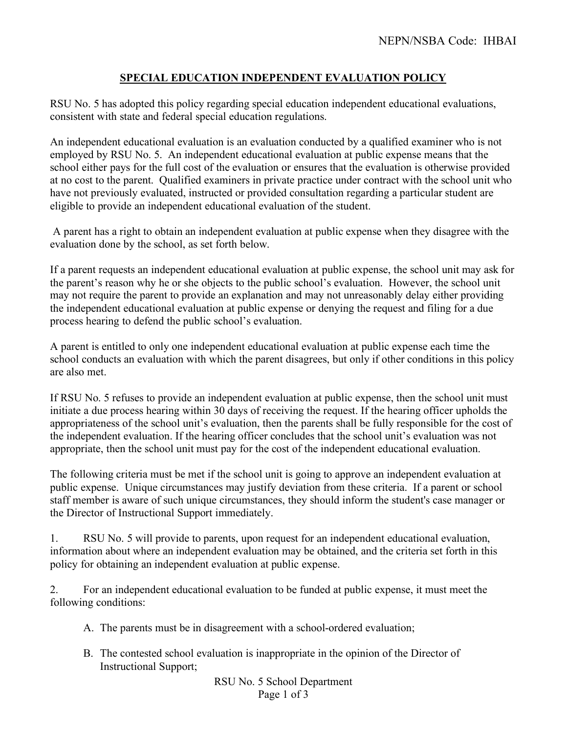## **SPECIAL EDUCATION INDEPENDENT EVALUATION POLICY**

RSU No. 5 has adopted this policy regarding special education independent educational evaluations, consistent with state and federal special education regulations.

An independent educational evaluation is an evaluation conducted by a qualified examiner who is not employed by RSU No. 5. An independent educational evaluation at public expense means that the school either pays for the full cost of the evaluation or ensures that the evaluation is otherwise provided at no cost to the parent. Qualified examiners in private practice under contract with the school unit who have not previously evaluated, instructed or provided consultation regarding a particular student are eligible to provide an independent educational evaluation of the student.

A parent has a right to obtain an independent evaluation at public expense when they disagree with the evaluation done by the school, as set forth below.

If a parent requests an independent educational evaluation at public expense, the school unit may ask for the parent's reason why he or she objects to the public school's evaluation. However, the school unit may not require the parent to provide an explanation and may not unreasonably delay either providing the independent educational evaluation at public expense or denying the request and filing for a due process hearing to defend the public school's evaluation.

A parent is entitled to only one independent educational evaluation at public expense each time the school conducts an evaluation with which the parent disagrees, but only if other conditions in this policy are also met.

If RSU No. 5 refuses to provide an independent evaluation at public expense, then the school unit must initiate a due process hearing within 30 days of receiving the request. If the hearing officer upholds the appropriateness of the school unit's evaluation, then the parents shall be fully responsible for the cost of the independent evaluation. If the hearing officer concludes that the school unit's evaluation was not appropriate, then the school unit must pay for the cost of the independent educational evaluation.

The following criteria must be met if the school unit is going to approve an independent evaluation at public expense. Unique circumstances may justify deviation from these criteria. If a parent or school staff member is aware of such unique circumstances, they should inform the student's case manager or the Director of Instructional Support immediately.

1. RSU No. 5 will provide to parents, upon request for an independent educational evaluation, information about where an independent evaluation may be obtained, and the criteria set forth in this policy for obtaining an independent evaluation at public expense.

2. For an independent educational evaluation to be funded at public expense, it must meet the following conditions:

- A. The parents must be in disagreement with a school-ordered evaluation;
- B. The contested school evaluation is inappropriate in the opinion of the Director of Instructional Support;

RSU No. 5 School Department Page 1 of 3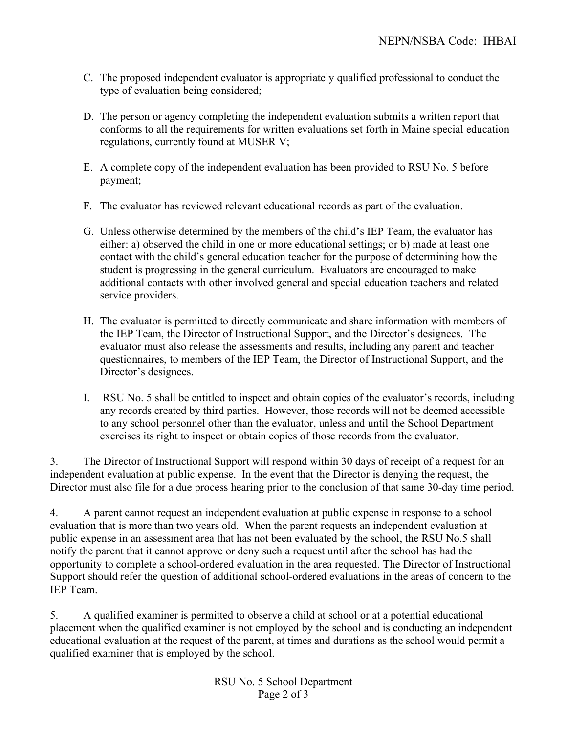- C. The proposed independent evaluator is appropriately qualified professional to conduct the type of evaluation being considered;
- D. The person or agency completing the independent evaluation submits a written report that conforms to all the requirements for written evaluations set forth in Maine special education regulations, currently found at MUSER V;
- E. A complete copy of the independent evaluation has been provided to RSU No. 5 before payment;
- F. The evaluator has reviewed relevant educational records as part of the evaluation.
- G. Unless otherwise determined by the members of the child's IEP Team, the evaluator has either: a) observed the child in one or more educational settings; or b) made at least one contact with the child's general education teacher for the purpose of determining how the student is progressing in the general curriculum. Evaluators are encouraged to make additional contacts with other involved general and special education teachers and related service providers.
- H. The evaluator is permitted to directly communicate and share information with members of the IEP Team, the Director of Instructional Support, and the Director's designees. The evaluator must also release the assessments and results, including any parent and teacher questionnaires, to members of the IEP Team, the Director of Instructional Support, and the Director's designees.
- I. RSU No. 5 shall be entitled to inspect and obtain copies of the evaluator's records, including any records created by third parties. However, those records will not be deemed accessible to any school personnel other than the evaluator, unless and until the School Department exercises its right to inspect or obtain copies of those records from the evaluator.

3. The Director of Instructional Support will respond within 30 days of receipt of a request for an independent evaluation at public expense. In the event that the Director is denying the request, the Director must also file for a due process hearing prior to the conclusion of that same 30-day time period.

4. A parent cannot request an independent evaluation at public expense in response to a school evaluation that is more than two years old. When the parent requests an independent evaluation at public expense in an assessment area that has not been evaluated by the school, the RSU No.5 shall notify the parent that it cannot approve or deny such a request until after the school has had the opportunity to complete a school-ordered evaluation in the area requested. The Director of Instructional Support should refer the question of additional school-ordered evaluations in the areas of concern to the IEP Team.

5. A qualified examiner is permitted to observe a child at school or at a potential educational placement when the qualified examiner is not employed by the school and is conducting an independent educational evaluation at the request of the parent, at times and durations as the school would permit a qualified examiner that is employed by the school.

> RSU No. 5 School Department Page 2 of 3